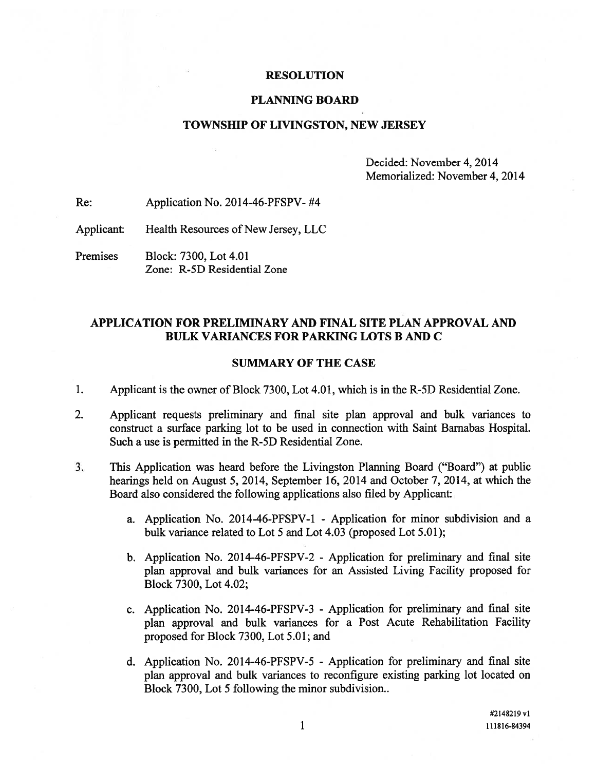### RESOLUTION

#### PLANNING BOARD

## TOWNSHIP OF LIVINGSTON, NEW JERSEY

Decided: November 4, 2014 Memorialized: November 4, 2014

Re: Application No. 2014-46-PFSPV- #4

Applicant: Health Resources of New Jersey, LLC

Premises Block: 7300, Lot 4.01 Zone: R-5D Residential Zone

# APPLICATION FOR PRELIMINARY AND FINAL SITE PLAN APPROVAL AND BULK VARIANCES FOR PARKING LOTS B AND C

### SUMMARY OF THE CASE

- 1. Applicant is the owner of Block 7300, Lot 4.01, which is in the R-5D Residential Zone.
- 2. Applicant requests preliminary and final site plan approval and bulk variances to construct <sup>a</sup> surface parking lot to be used in connection with Saint Barnabas Hospital. Such a use is permitted in the R-5D Residential Zone.
- 3. This Application was heard before the Livingston Planning Board ("Board") at public hearings held on August 5, 2014, September 16, 2014 and October 7, 2014, at which the Board also considered the following applications also filed by Applicant:
	- a. Application No. 2014-46-PFSPV-1 Application for minor subdivision and <sup>a</sup> bulk variance related to Lot 5 and Lot 4.03 (proposed Lot 5.01);
	- b. Application No. 2014-46-PFSPV-2 Application for preliminary and final site plan approval and bulk variances for an Assisted Living Facility proposed for Block 7300, Lot 4.02;
	- c. Application No. 2014-46-PFSPV-3 Application for preliminary and final site <sup>p</sup>lan approval and bulk variances for <sup>a</sup> Post Acute Rehabilitation Facility proposed for Block 7300, Lot 5.01; and
	- d. Application No. 2014-46-PFSPV-5 Application for preliminary and final site plan approval and bulk variances to reconfigure existing parking lot located on Block 7300, Lot 5 following the minor subdivision..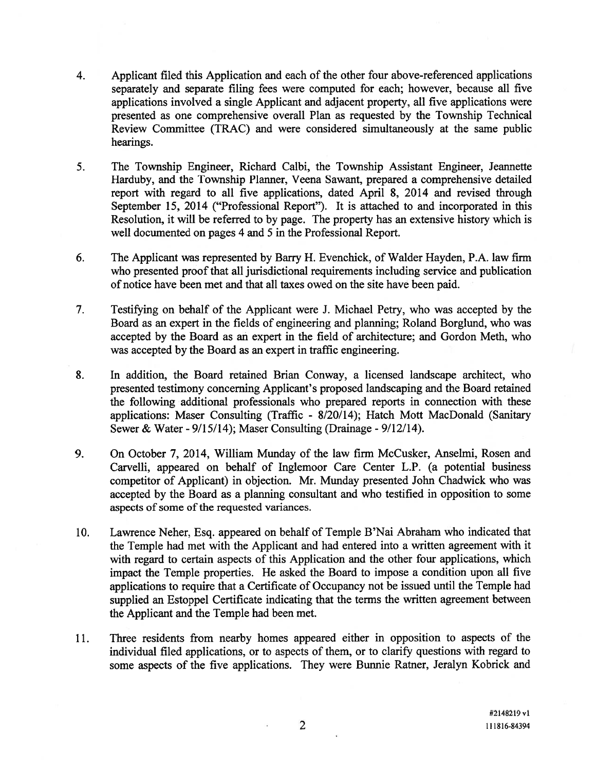- 4. Applicant filed this Application and each of the other four above-referenced applications separately and separate filing fees were computed for each; however, because all five applications involved <sup>a</sup> single Applicant and adjacent property, all five applications were presented as one comprehensive overall Plan as requested by the Township Technical Review Committee (TRAC) and were considered simultaneously at the same public hearings.
- 5. The Township Engineer, Richard Calbi, the Township Assistant Engineer, Jeannette Harduby, and the Township Planner, Veena Sawant, prepared <sup>a</sup> comprehensive detailed repor<sup>t</sup> with regard to all five applications, dated April 8, 2014 and revised through September 15, 2014 ("Professional Report"). It is attached to and incorporated in this Resolution, it will be referred to by page. The property has an extensive history which is well documented on pages 4 and 5 in the Professional Report.
- 6. The Applicant was represented by Barry H. Evenchick, of Walder Hayden, P.A. law firm who presented proof that all jurisdictional requirements including service and publication of notice have been met and that all taxes owed on the site have been paid.
- 7. Testifying on behalf of the Applicant were J. Michael Petry, who was accepted by the Board as an exper<sup>t</sup> in the fields of engineering and planning; Roland Borglund, who was accepted by the Board as an exper<sup>t</sup> in the field of architecture; and Gordon Meth, who was accepted by the Board as an exper<sup>t</sup> in traffic engineering.
- 8. In addition, the Board retained Brian Conway, <sup>a</sup> licensed landscape architect, who presented testimony concerning Applicant's proposed landscaping and the Board retained the following additional professionals who prepared reports in connection with these applications: Maser Consulting (Traffic - 8/20/14); Hatch Mott MacDonald (Sanitary Sewer & Water - 9/15/14); Maser Consulting (Drainage - 9/12/14).
- 9. On October 7, 2014, William Munday of the law firm McCusker, Anselmi, Rosen and Carvelli, appeared on behalf of Inglemoor Care Center L.P. (a potential business competitor of Applicant) in objection. Mr. Munday presented John Chadwick who was accepted by the Board as <sup>a</sup> planning consultant and who testified in opposition to some aspects of some of the requested variances.
- 10. Lawrence Neher, Esq. appeared on behalf of Temple B'Nai Abraham who indicated that the Temple had met with the Applicant and had entered into <sup>a</sup> written agreemen<sup>t</sup> with it with regard to certain aspects of this Application and the other four applications, which impact the Temple properties. He asked the Board to impose <sup>a</sup> condition upon all five applications to require that <sup>a</sup> Certificate of Occupancy not be issued until the Temple had supplied an Estoppel Certificate indicating that the terms the written agreemen<sup>t</sup> between the Applicant and the Temple had been met.
- 11. Three residents from nearby homes appeared either in opposition to aspects of the individual filed applications, or to aspects of them, or to clarify questions with regard to some aspects of the five applications. They were Bunnie Ratner, Jeralyn Kobrick and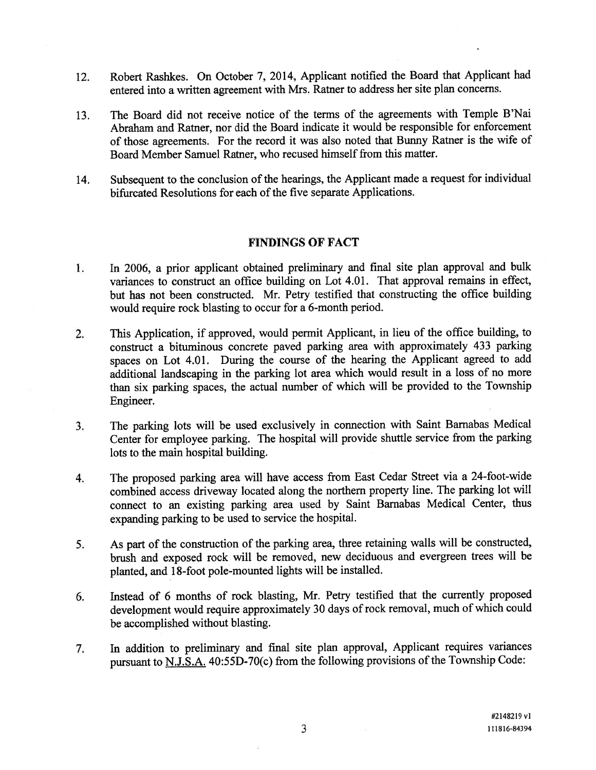- 12. Robert Rashkes. On October 7, 2014, Applicant notified the Board that Applicant had entered into <sup>a</sup> written agreemen<sup>t</sup> with Mrs. Ratner to address her site <sup>p</sup>lan concerns.
- 13. The Board did not receive notice of the terms of the agreements with Temple B'Nai Abraham and Ratner, nor did the Board indicate it would be responsible for enforcement of those agreements. For the record it was also noted that Bunny Ratner is the wife of Board Member Samuel Ratner, who recused himself from this matter.
- 14. Subsequent to the conclusion of the hearings, the Applicant made <sup>a</sup> reques<sup>t</sup> for individual bifurcated Resolutions for each of the five separate Applications.

### FINDINGS OF FACT

- 1. In 2006, <sup>a</sup> prior applicant obtained preliminary and final site <sup>p</sup>lan approva<sup>l</sup> and bulk variances to construct an office building on Lot 4.01. That approval remains in effect, but has not been constructed. Mr. Petry testified that constructing the office building would require rock blasting to occur for <sup>a</sup> 6-month period.
- 2. This Application, if approved, would permit Applicant, in lieu of the office building, to construct <sup>a</sup> bituminous concrete pave<sup>d</sup> parking area with approximately <sup>433</sup> parking spaces on Lot 4.01. During the course of the hearing the Applicant agree<sup>d</sup> to add additional landscaping in the parking lot area which would result in <sup>a</sup> loss of no more than six parking spaces, the actual number of which will be provided to the Township Engineer.
- 3. The parking lots will be used exclusively in connection with Saint Barnabas Medical Center for employee parking. The hospital will provide shuttle service from the parking lots to the main hospital building.
- 4. The propose<sup>d</sup> parking area will have access from East Cedar Street via <sup>a</sup> 24-foot-wide combined access driveway located along the northern property line. The parking lot will connect to an existing parking area used by Saint Barnabas Medical Center, thus expanding parking to be used to service the hospital.
- 5. As part of the construction of the parking area, three retaining walls will be constructed, brush and expose<sup>d</sup> rock will be removed, new deciduous and evergreen trees will be <sup>p</sup>lanted, and 18-foot pole-mounted lights will be installed.
- 6. Instead of <sup>6</sup> months of rock blasting, Mr. Petry testified that the currently propose<sup>d</sup> development would require approximately <sup>30</sup> days of rock removal, much of which could be accomplished without blasting.
- 7. In addition to preliminary and final site <sup>p</sup>lan approval, Applicant requires variances pursuant to N.J.S.A.  $40:55D-70(c)$  from the following provisions of the Township Code: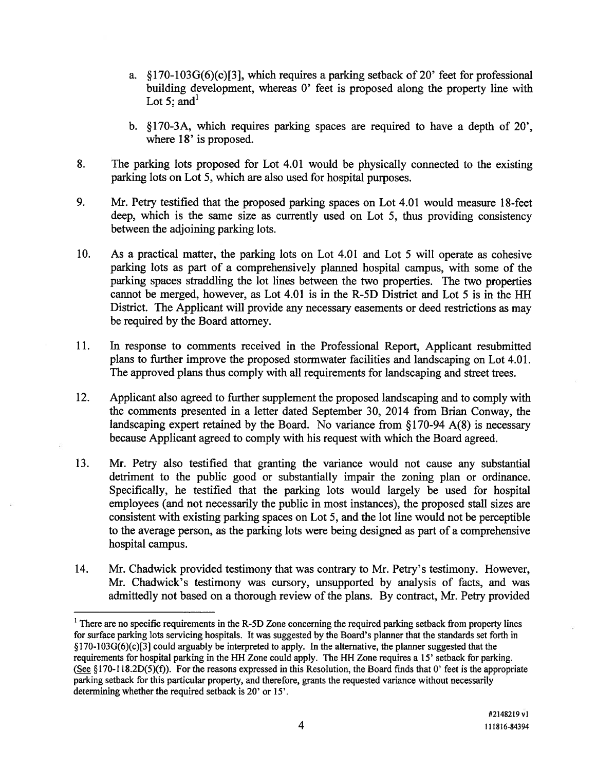- a. § 170-103G(6)(c)[3], which requires <sup>a</sup> parking setback of 20' feet for professional building development, whereas 0' feet is proposed along the property line with Lot 5: and<sup>1</sup>
- b. §170-3A, which requires parking spaces are required to have a depth of 20'. where 18' is proposed.
- 8. The parking lots proposed for Lot 4.01 would be physically connected to the existing parking lots on Lot 5, which are also used for hospital purposes.
- 9. Mr. Petry testified that the proposed parking spaces on Lot 4.01 would measure 18-feet deep, which is the same size as currently used on Lot 5, thus providing consistency between the adjoining parking lots.
- 10. As <sup>a</sup> practical matter, the parking lots on Lot 4.01 and Lot 5 will operate as cohesive parking lots as par<sup>t</sup> of <sup>a</sup> comprehensively planned hospital campus, with some of the parking spaces straddling the lot lines between the two properties. The two properties cannot be merged, however, as Lot 4.01 is in the R-5D District and Lot 5 is in the HH District. The Applicant will provide any necessary easements or deed restrictions as may be required by the Board attorney.
- 11. In response to comments received in the Professional Report, Applicant resubmitted plans to further improve the proposed stormwater facilities and landscaping on Lot 4.01. The approved plans thus comply with all requirements for landscaping and street trees.
- 12. Applicant also agreed to further supplement the proposed landscaping and to comply with the comments presented in <sup>a</sup> letter dated September 30, 2014 from Brian Conway, the landscaping expert retained by the Board. No variance from §170-94 A(8) is necessary because Applicant agreed to comply with his reques<sup>t</sup> with which the Board agreed.
- 13. Mr. Petry also testified that granting the variance would not cause any substantial detriment to the public good or substantially impair the zoning plan or ordinance. Specifically, he testified that the parking lots would largely be used for hospital employees (and not necessarily the public in most instances), the proposed stall sizes are consistent with existing parking spaces on Lot 5, and the lot line would not be perceptible to the average person, as the parking lots were being designed as par<sup>t</sup> of <sup>a</sup> comprehensive hospital campus.
- 14. Mr. Chadwick provided testimony that was contrary to Mr. Petry's testimony. However, Mr. Chadwick's testimony was cursory, unsupported by analysis of facts, and was admittedly not based on <sup>a</sup> thorough review of the plans. By contract, Mr. Petry provided

<sup>&</sup>lt;sup>1</sup> There are no specific requirements in the R-5D Zone concerning the required parking setback from property lines for surface parking lots servicing hospitals. It was suggested by the Board's planner that the standards set forth in  $§170-103G(6)(c)[3]$  could arguably be interpreted to apply. In the alternative, the planner suggested that the requirements for hospital parking in the HH Zone could apply. The HH Zone requires <sup>a</sup> 15' setback for parking. (See §170-118.2D(5)(f)). For the reasons expressed in this Resolution, the Board finds that 0' feet is the appropriate parking setback for this particular property, and therefore, grants the requested variance without necessarily determining whether the required setback is 20' or 15'.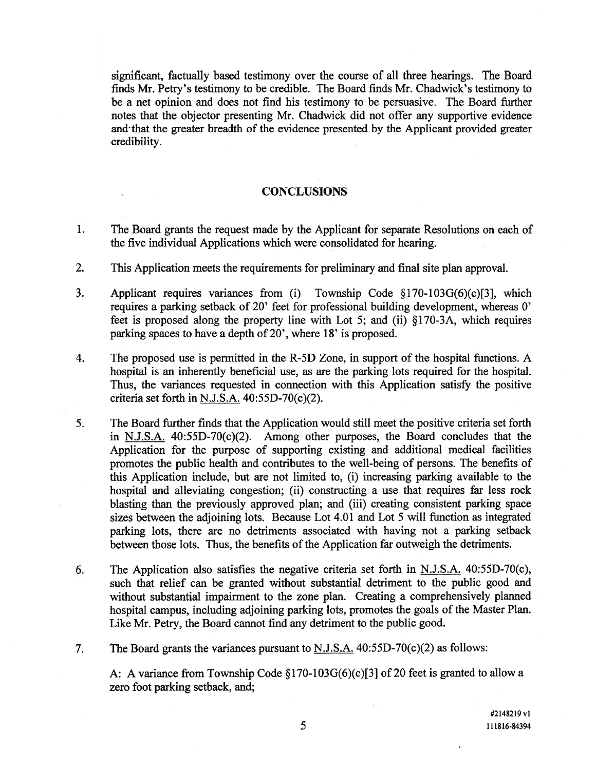significant, factually based testimony over the course of all three hearings. The Board finds Mr. Petry's testimony to be credible. The Board finds Mr. Chadwick's testimony to be <sup>a</sup> net opinion and does not find his testimony to be persuasive. The Board further notes that the objector presenting Mr. Chadwick did not offer any supportive evidence and that the greater breadth of the evidence presented by the Applicant provided greater credibility.

# **CONCLUSIONS**

- 1. The Board grants the reques<sup>t</sup> made by the Applicant for separate Resolutions on each of the five individual Applications which were consolidated for hearing.
- 2. This Application meets the requirements for preliminary and final site plan approval.
- 3. Applicant requires variances from (i) Township Code §170-103G(6)(c)[3], which requires <sup>a</sup> parking setback of 20' feet for professional building development, whereas 0' feet is proposed along the property line with Lot 5; and (ii) §170-3A, which requires parking spaces to have <sup>a</sup> depth of 20', where 18' is proposed.
- 4. The proposed use is permitted in the R-5D Zone, in suppor<sup>t</sup> of the hospital functions. A hospital is an inherently beneficial use, as are the parking lots required for the hospital. Thus, the variances requested in connection with this Application satisfy the positive criteria set forth in N.J.S.A. 40:55D-70(c)(2).
- 5. The Board further finds that the Application would still meet the positive criteria set forth in N.J.S.A. 40:55D-70(c)(2). Among other purposes, the Board concludes that the Application for the purpose of supporting existing and additional medical facilities promotes the public health and contributes to the well-being of persons. The benefits of this Application include, but are not limited to, (i) increasing parking available to the hospital and alleviating congestion; (ii) constructing <sup>a</sup> use that requires far less rock blasting than the previously approved plan; and (iii) creating consistent parking space sizes between the adjoining lots. Because Lot 4.01 and Lot 5 will function as integrated parking lots, there are no detriments associated with having not <sup>a</sup> parking setback between those lots. Thus, the benefits of the Application far outweigh the detriments.
- 6. The Application also satisfies the negative criteria set forth in  $N.J.S.A.$  40:55D-70(c), such that relief can be granted without substantial detriment to the public good and without substantial impairment to the zone plan. Creating <sup>a</sup> comprehensively planned hospital campus, including adjoining parking lots, promotes the goals of the Master Plan. Like Mr. Petry, the Board cannot find any detriment to the public good.

7. The Board grants the variances pursuan<sup>t</sup> to N.J.S.A. 40:55D-70(c)(2) as follows:

A: A variance from Township Code §170-103G(6)(c)[3] of 20 feet is granted to allow <sup>a</sup> zero foot parking setback, and;